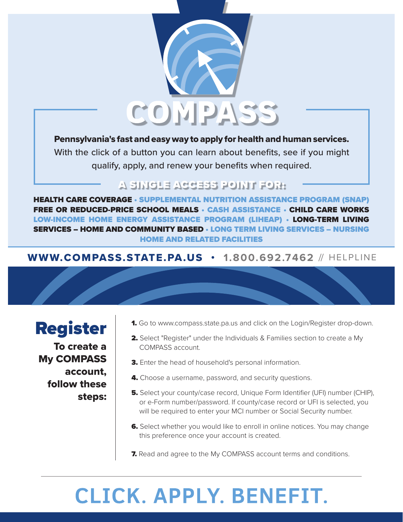

#### Pennsylvania's fast and easy way to apply for health and human services.

With the click of a button you can learn about benefits, see if you might qualify, apply, and renew your benefits when required.

## A SINGLE ACCESS POINT FOR:

HEALTH CARE COVERAGE • SUPPLEMENTAL NUTRITION ASSISTANCE PROGRAM (SNAP) FREE OR REDUCED-PRICE SCHOOL MEALS • CASH ASSISTANCE • CHILD CARE WORKS LOW-INCOME HOME ENERGY ASSISTANCE PROGRAM (LIHEAP) • LONG-TERM LIVING SERVICES – HOME AND COMMUNITY BASED • LONG TERM LIVING SERVICES – NURSING HOME AND RELATED FACILITIES

### WWW.COMPASS.STATE.PA.US • **1.800.692.7462** // HELPLINE



To create a My COMPASS account, follow these steps:

- 1. Go to www.compass.state.pa.us and click on the Login/Register drop-down.
- 2. Select "Register" under the Individuals & Families section to create a My COMPASS account.
- 3. Enter the head of household's personal information.
- 4. Choose a username, password, and security questions.
- 5. Select your county/case record, Unique Form Identifier (UFI) number (CHIP), or e-Form number/password. If county/case record or UFI is selected, you will be required to enter your MCI number or Social Security number.
- **6.** Select whether you would like to enroll in online notices. You may change this preference once your account is created.
- **7.** Read and agree to the My COMPASS account terms and conditions.

# **CLICK. APPLY. BENEFIT.**